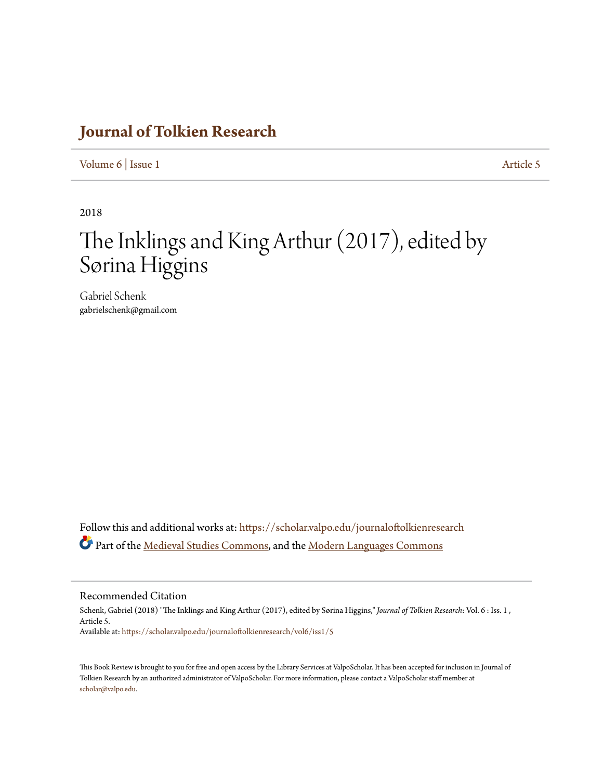## **[Journal of Tolkien Research](https://scholar.valpo.edu/journaloftolkienresearch?utm_source=scholar.valpo.edu%2Fjournaloftolkienresearch%2Fvol6%2Fiss1%2F5&utm_medium=PDF&utm_campaign=PDFCoverPages)**

[Volume 6](https://scholar.valpo.edu/journaloftolkienresearch/vol6?utm_source=scholar.valpo.edu%2Fjournaloftolkienresearch%2Fvol6%2Fiss1%2F5&utm_medium=PDF&utm_campaign=PDFCoverPages) | [Issue 1](https://scholar.valpo.edu/journaloftolkienresearch/vol6/iss1?utm_source=scholar.valpo.edu%2Fjournaloftolkienresearch%2Fvol6%2Fiss1%2F5&utm_medium=PDF&utm_campaign=PDFCoverPages) [Article 5](https://scholar.valpo.edu/journaloftolkienresearch/vol6/iss1/5?utm_source=scholar.valpo.edu%2Fjournaloftolkienresearch%2Fvol6%2Fiss1%2F5&utm_medium=PDF&utm_campaign=PDFCoverPages)

2018

## The Inklings and King Arthur (2017), edited by Sørina Higgins

Gabriel Schenk gabrielschenk@gmail.com

Follow this and additional works at: [https://scholar.valpo.edu/journaloftolkienresearch](https://scholar.valpo.edu/journaloftolkienresearch?utm_source=scholar.valpo.edu%2Fjournaloftolkienresearch%2Fvol6%2Fiss1%2F5&utm_medium=PDF&utm_campaign=PDFCoverPages) Part of the [Medieval Studies Commons,](http://network.bepress.com/hgg/discipline/480?utm_source=scholar.valpo.edu%2Fjournaloftolkienresearch%2Fvol6%2Fiss1%2F5&utm_medium=PDF&utm_campaign=PDFCoverPages) and the [Modern Languages Commons](http://network.bepress.com/hgg/discipline/1130?utm_source=scholar.valpo.edu%2Fjournaloftolkienresearch%2Fvol6%2Fiss1%2F5&utm_medium=PDF&utm_campaign=PDFCoverPages)

## Recommended Citation

Schenk, Gabriel (2018) "The Inklings and King Arthur (2017), edited by Sørina Higgins," *Journal of Tolkien Research*: Vol. 6 : Iss. 1 , Article 5. Available at: [https://scholar.valpo.edu/journaloftolkienresearch/vol6/iss1/5](https://scholar.valpo.edu/journaloftolkienresearch/vol6/iss1/5?utm_source=scholar.valpo.edu%2Fjournaloftolkienresearch%2Fvol6%2Fiss1%2F5&utm_medium=PDF&utm_campaign=PDFCoverPages)

This Book Review is brought to you for free and open access by the Library Services at ValpoScholar. It has been accepted for inclusion in Journal of Tolkien Research by an authorized administrator of ValpoScholar. For more information, please contact a ValpoScholar staff member at [scholar@valpo.edu.](mailto:scholar@valpo.edu)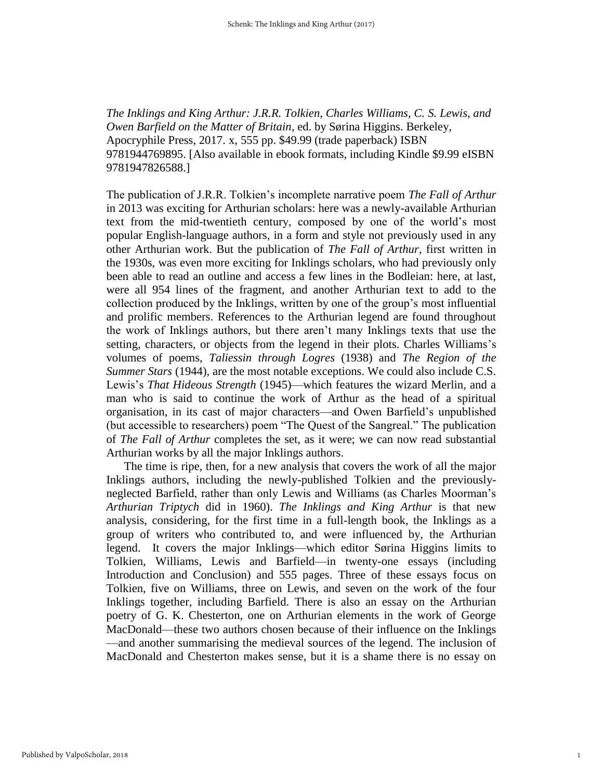*The Inklings and King Arthur: J.R.R. Tolkien, Charles Williams, C. S. Lewis, and Owen Barfield on the Matter of Britain*, ed. by Sørina Higgins. Berkeley, Apocryphile Press, 2017. x, 555 pp. \$49.99 (trade paperback) ISBN 9781944769895. [Also available in ebook formats, including Kindle \$9.99 eISBN 9781947826588.]

The publication of J.R.R. Tolkien's incomplete narrative poem *The Fall of Arthur* in 2013 was exciting for Arthurian scholars: here was a newly-available Arthurian text from the mid-twentieth century, composed by one of the world's most popular English-language authors, in a form and style not previously used in any other Arthurian work. But the publication of *The Fall of Arthur*, first written in the 1930s, was even more exciting for Inklings scholars, who had previously only been able to read an outline and access a few lines in the Bodleian: here, at last, were all 954 lines of the fragment, and another Arthurian text to add to the collection produced by the Inklings, written by one of the group's most influential and prolific members. References to the Arthurian legend are found throughout the work of Inklings authors, but there aren't many Inklings texts that use the setting, characters, or objects from the legend in their plots. Charles Williams's volumes of poems, *Taliessin through Logres* (1938) and *The Region of the Summer Stars* (1944), are the most notable exceptions. We could also include C.S. Lewis's *That Hideous Strength* (1945)—which features the wizard Merlin, and a man who is said to continue the work of Arthur as the head of a spiritual organisation, in its cast of major characters—and Owen Barfield's unpublished (but accessible to researchers) poem "The Quest of the Sangreal." The publication of *The Fall of Arthur* completes the set, as it were; we can now read substantial Arthurian works by all the major Inklings authors.

The time is ripe, then, for a new analysis that covers the work of all the major Inklings authors, including the newly-published Tolkien and the previouslyneglected Barfield, rather than only Lewis and Williams (as Charles Moorman's *Arthurian Triptych* did in 1960). *The Inklings and King Arthur* is that new analysis, considering, for the first time in a full-length book, the Inklings as a group of writers who contributed to, and were influenced by, the Arthurian legend. It covers the major Inklings—which editor Sørina Higgins limits to Tolkien, Williams, Lewis and Barfield—in twenty-one essays (including Introduction and Conclusion) and 555 pages. Three of these essays focus on Tolkien, five on Williams, three on Lewis, and seven on the work of the four Inklings together, including Barfield. There is also an essay on the Arthurian poetry of G. K. Chesterton, one on Arthurian elements in the work of George MacDonald—these two authors chosen because of their influence on the Inklings —and another summarising the medieval sources of the legend. The inclusion of MacDonald and Chesterton makes sense, but it is a shame there is no essay on

1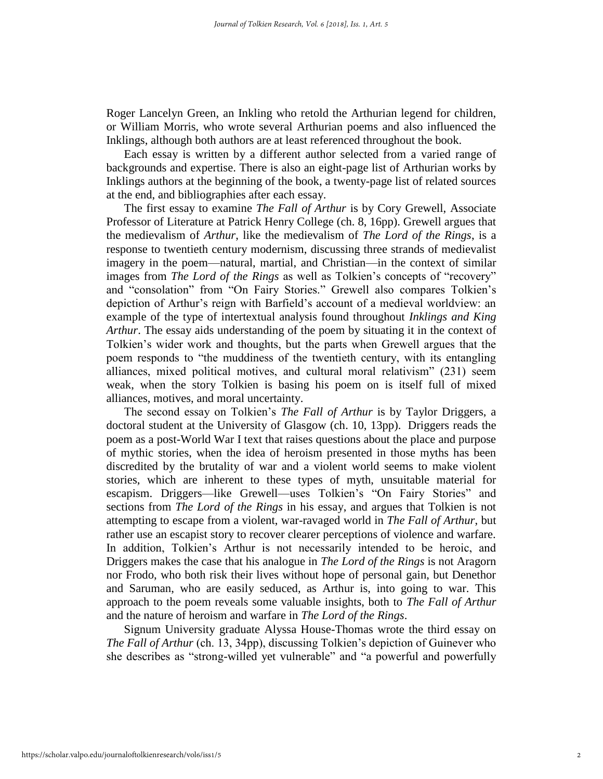Roger Lancelyn Green, an Inkling who retold the Arthurian legend for children, or William Morris, who wrote several Arthurian poems and also influenced the Inklings, although both authors are at least referenced throughout the book.

Each essay is written by a different author selected from a varied range of backgrounds and expertise. There is also an eight-page list of Arthurian works by Inklings authors at the beginning of the book, a twenty-page list of related sources at the end, and bibliographies after each essay.

The first essay to examine *The Fall of Arthur* is by Cory Grewell, Associate Professor of Literature at Patrick Henry College (ch. 8, 16pp). Grewell argues that the medievalism of *Arthur*, like the medievalism of *The Lord of the Rings*, is a response to twentieth century modernism, discussing three strands of medievalist imagery in the poem—natural, martial, and Christian—in the context of similar images from *The Lord of the Rings* as well as Tolkien's concepts of "recovery" and "consolation" from "On Fairy Stories." Grewell also compares Tolkien's depiction of Arthur's reign with Barfield's account of a medieval worldview: an example of the type of intertextual analysis found throughout *Inklings and King Arthur*. The essay aids understanding of the poem by situating it in the context of Tolkien's wider work and thoughts, but the parts when Grewell argues that the poem responds to "the muddiness of the twentieth century, with its entangling alliances, mixed political motives, and cultural moral relativism" (231) seem weak, when the story Tolkien is basing his poem on is itself full of mixed alliances, motives, and moral uncertainty.

The second essay on Tolkien's *The Fall of Arthur* is by Taylor Driggers, a doctoral student at the University of Glasgow (ch. 10, 13pp). Driggers reads the poem as a post-World War I text that raises questions about the place and purpose of mythic stories, when the idea of heroism presented in those myths has been discredited by the brutality of war and a violent world seems to make violent stories, which are inherent to these types of myth, unsuitable material for escapism. Driggers—like Grewell—uses Tolkien's "On Fairy Stories" and sections from *The Lord of the Rings* in his essay, and argues that Tolkien is not attempting to escape from a violent, war-ravaged world in *The Fall of Arthur*, but rather use an escapist story to recover clearer perceptions of violence and warfare. In addition, Tolkien's Arthur is not necessarily intended to be heroic, and Driggers makes the case that his analogue in *The Lord of the Rings* is not Aragorn nor Frodo, who both risk their lives without hope of personal gain, but Denethor and Saruman, who are easily seduced, as Arthur is, into going to war. This approach to the poem reveals some valuable insights, both to *The Fall of Arthur* and the nature of heroism and warfare in *The Lord of the Rings*.

Signum University graduate Alyssa House-Thomas wrote the third essay on *The Fall of Arthur* (ch. 13, 34pp), discussing Tolkien's depiction of Guinever who she describes as "strong-willed yet vulnerable" and "a powerful and powerfully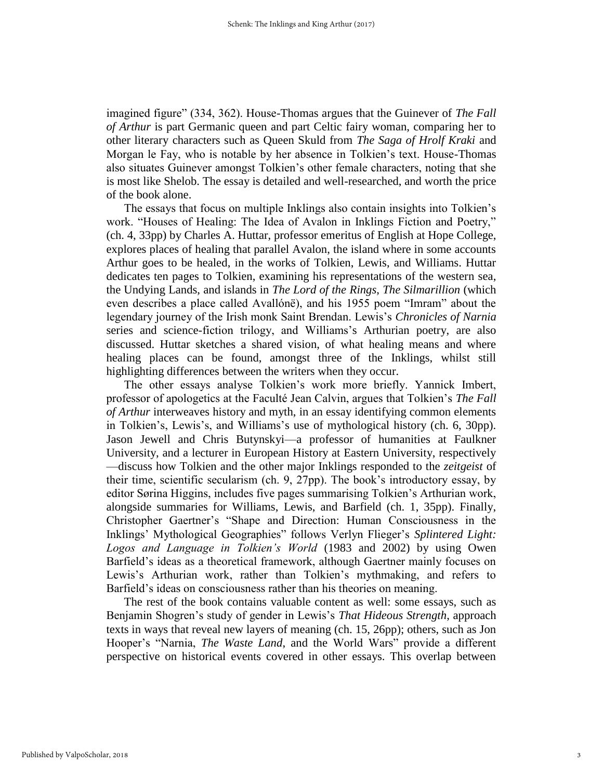imagined figure" (334, 362). House-Thomas argues that the Guinever of *The Fall of Arthur* is part Germanic queen and part Celtic fairy woman, comparing her to other literary characters such as Queen Skuld from *The Saga of Hrolf Kraki* and Morgan le Fay, who is notable by her absence in Tolkien's text. House-Thomas also situates Guinever amongst Tolkien's other female characters, noting that she is most like Shelob. The essay is detailed and well-researched, and worth the price of the book alone.

The essays that focus on multiple Inklings also contain insights into Tolkien's work. "Houses of Healing: The Idea of Avalon in Inklings Fiction and Poetry," (ch. 4, 33pp) by Charles A. Huttar, professor emeritus of English at Hope College, explores places of healing that parallel Avalon, the island where in some accounts Arthur goes to be healed, in the works of Tolkien, Lewis, and Williams. Huttar dedicates ten pages to Tolkien, examining his representations of the western sea, the Undying Lands, and islands in *The Lord of the Rings*, *The Silmarillion* (which even describes a place called Avallónë), and his 1955 poem "Imram" about the legendary journey of the Irish monk Saint Brendan. Lewis's *Chronicles of Narnia*  series and science-fiction trilogy, and Williams's Arthurian poetry, are also discussed. Huttar sketches a shared vision, of what healing means and where healing places can be found, amongst three of the Inklings, whilst still highlighting differences between the writers when they occur.

The other essays analyse Tolkien's work more briefly. Yannick Imbert, professor of apologetics at the Faculté Jean Calvin, argues that Tolkien's *The Fall of Arthur* interweaves history and myth, in an essay identifying common elements in Tolkien's, Lewis's, and Williams's use of mythological history (ch. 6, 30pp). Jason Jewell and Chris Butynskyi—a professor of humanities at Faulkner University, and a lecturer in European History at Eastern University, respectively —discuss how Tolkien and the other major Inklings responded to the *zeitgeist* of their time, scientific secularism (ch. 9, 27pp). The book's introductory essay, by editor Sørina Higgins, includes five pages summarising Tolkien's Arthurian work, alongside summaries for Williams, Lewis, and Barfield (ch. 1, 35pp). Finally, Christopher Gaertner's "Shape and Direction: Human Consciousness in the Inklings' Mythological Geographies" follows Verlyn Flieger's *Splintered Light: Logos and Language in Tolkien's World* (1983 and 2002) by using Owen Barfield's ideas as a theoretical framework, although Gaertner mainly focuses on Lewis's Arthurian work, rather than Tolkien's mythmaking, and refers to Barfield's ideas on consciousness rather than his theories on meaning.

The rest of the book contains valuable content as well: some essays, such as Benjamin Shogren's study of gender in Lewis's *That Hideous Strength*, approach texts in ways that reveal new layers of meaning (ch. 15, 26pp); others, such as Jon Hooper's "Narnia, *The Waste Land*, and the World Wars" provide a different perspective on historical events covered in other essays. This overlap between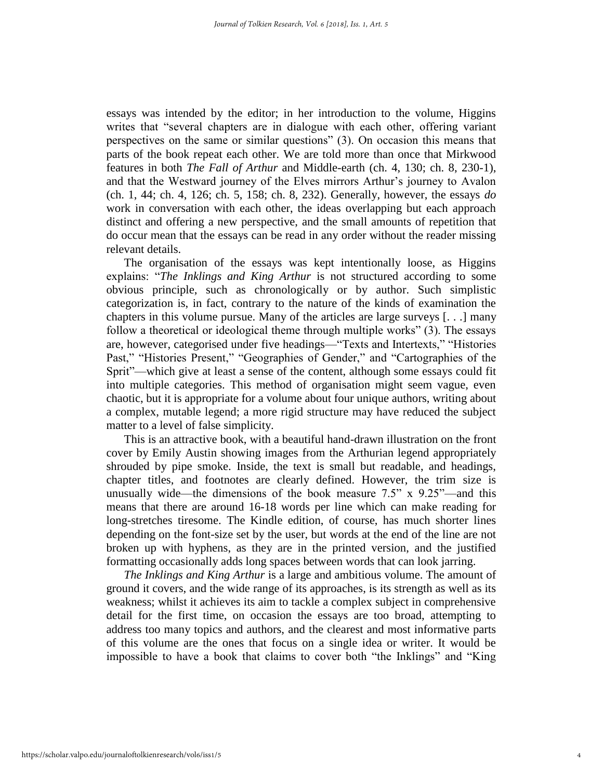essays was intended by the editor; in her introduction to the volume, Higgins writes that "several chapters are in dialogue with each other, offering variant perspectives on the same or similar questions" (3). On occasion this means that parts of the book repeat each other. We are told more than once that Mirkwood features in both *The Fall of Arthur* and Middle-earth (ch. 4, 130; ch. 8, 230-1), and that the Westward journey of the Elves mirrors Arthur's journey to Avalon (ch. 1, 44; ch. 4, 126; ch. 5, 158; ch. 8, 232). Generally, however, the essays *do* work in conversation with each other, the ideas overlapping but each approach distinct and offering a new perspective, and the small amounts of repetition that do occur mean that the essays can be read in any order without the reader missing relevant details.

The organisation of the essays was kept intentionally loose, as Higgins explains: "*The Inklings and King Arthur* is not structured according to some obvious principle, such as chronologically or by author. Such simplistic categorization is, in fact, contrary to the nature of the kinds of examination the chapters in this volume pursue. Many of the articles are large surveys [. . .] many follow a theoretical or ideological theme through multiple works" (3). The essays are, however, categorised under five headings—"Texts and Intertexts," "Histories Past," "Histories Present," "Geographies of Gender," and "Cartographies of the Sprit"—which give at least a sense of the content, although some essays could fit into multiple categories. This method of organisation might seem vague, even chaotic, but it is appropriate for a volume about four unique authors, writing about a complex, mutable legend; a more rigid structure may have reduced the subject matter to a level of false simplicity.

This is an attractive book, with a beautiful hand-drawn illustration on the front cover by Emily Austin showing images from the Arthurian legend appropriately shrouded by pipe smoke. Inside, the text is small but readable, and headings, chapter titles, and footnotes are clearly defined. However, the trim size is unusually wide—the dimensions of the book measure  $7.5$ " x  $9.25$ "—and this means that there are around 16-18 words per line which can make reading for long-stretches tiresome. The Kindle edition, of course, has much shorter lines depending on the font-size set by the user, but words at the end of the line are not broken up with hyphens, as they are in the printed version, and the justified formatting occasionally adds long spaces between words that can look jarring.

*The Inklings and King Arthur* is a large and ambitious volume. The amount of ground it covers, and the wide range of its approaches, is its strength as well as its weakness; whilst it achieves its aim to tackle a complex subject in comprehensive detail for the first time, on occasion the essays are too broad, attempting to address too many topics and authors, and the clearest and most informative parts of this volume are the ones that focus on a single idea or writer. It would be impossible to have a book that claims to cover both "the Inklings" and "King